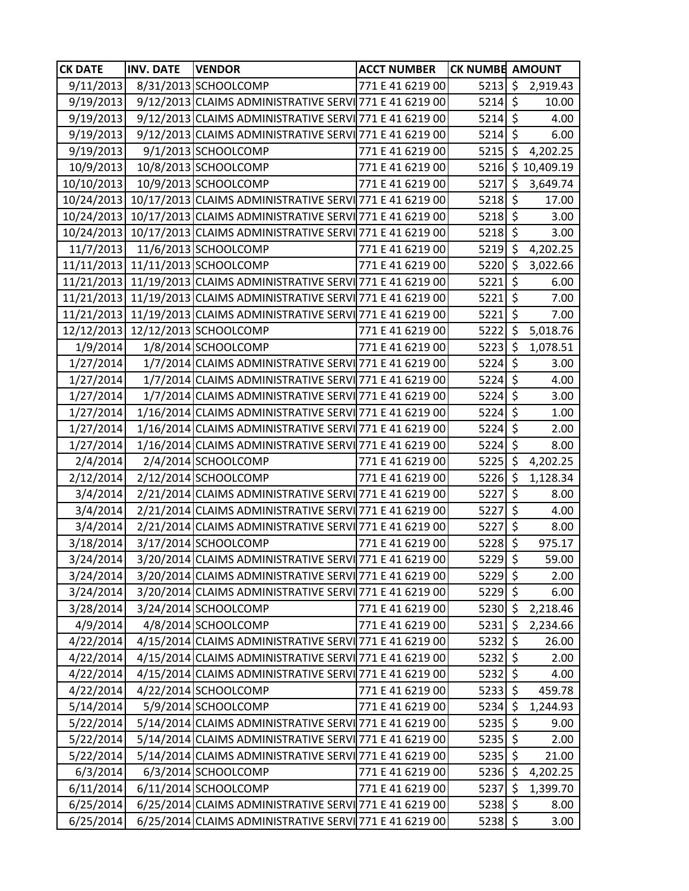| <b>CK DATE</b> | <b>INV. DATE</b> | <b>VENDOR</b>                                                      | <b>ACCT NUMBER</b> | <b>CK NUMBE AMOUNT</b> |                        |                  |
|----------------|------------------|--------------------------------------------------------------------|--------------------|------------------------|------------------------|------------------|
| 9/11/2013      |                  | 8/31/2013 SCHOOLCOMP                                               | 771 E 41 6219 00   | 5213                   | $\sqrt{5}$             | 2,919.43         |
| 9/19/2013      |                  | 9/12/2013 CLAIMS ADMINISTRATIVE SERVI 771 E 41 6219 00             |                    | $5214$ \$              |                        | 10.00            |
| 9/19/2013      |                  | 9/12/2013 CLAIMS ADMINISTRATIVE SERVI 771 E 41 6219 00             |                    | $5214$ \$              |                        | 4.00             |
| 9/19/2013      |                  | 9/12/2013 CLAIMS ADMINISTRATIVE SERVI 771 E 41 6219 00             |                    | $5214$ \$              |                        | 6.00             |
| 9/19/2013      |                  | 9/1/2013 SCHOOLCOMP                                                | 771 E 41 6219 00   | $5215$ \$              |                        | 4,202.25         |
| 10/9/2013      |                  | 10/8/2013 SCHOOLCOMP                                               | 771 E 41 6219 00   |                        |                        | 5216 \$10,409.19 |
| 10/10/2013     |                  | 10/9/2013 SCHOOLCOMP                                               | 771 E 41 6219 00   | 5217                   | $\zeta$                | 3,649.74         |
|                |                  | 10/24/2013 10/17/2013 CLAIMS ADMINISTRATIVE SERVI 771 E 41 6219 00 |                    | $5218$ \$              |                        | 17.00            |
|                |                  | 10/24/2013 10/17/2013 CLAIMS ADMINISTRATIVE SERVI 771 E 41 6219 00 |                    | $5218$ \$              |                        | 3.00             |
|                |                  | 10/24/2013 10/17/2013 CLAIMS ADMINISTRATIVE SERVI 771 E 41 6219 00 |                    | $5218$ \$              |                        | 3.00             |
| 11/7/2013      |                  | 11/6/2013 SCHOOLCOMP                                               | 771 E 41 6219 00   | 5219 \$                |                        | 4,202.25         |
|                |                  | 11/11/2013 11/11/2013 SCHOOLCOMP                                   | 771 E 41 6219 00   | $5220 \mid \xi$        |                        | 3,022.66         |
|                |                  | 11/21/2013 11/19/2013 CLAIMS ADMINISTRATIVE SERVI 771 E 41 6219 00 |                    | 5221                   | $\zeta$                | 6.00             |
|                |                  | 11/21/2013 11/19/2013 CLAIMS ADMINISTRATIVE SERVI 771 E 41 6219 00 |                    | 5221                   | $\zeta$                | 7.00             |
|                |                  | 11/21/2013 11/19/2013 CLAIMS ADMINISTRATIVE SERVI 771 E 41 6219 00 |                    | 5221                   | $\zeta$                | 7.00             |
|                |                  | 12/12/2013 12/12/2013 SCHOOLCOMP                                   | 771 E 41 6219 00   | 5222                   | \$                     | 5,018.76         |
| 1/9/2014       |                  | 1/8/2014 SCHOOLCOMP                                                | 771 E 41 6219 00   | 5223                   | -\$                    | 1,078.51         |
| 1/27/2014      |                  | 1/7/2014 CLAIMS ADMINISTRATIVE SERVI 771 E 41 6219 00              |                    | 5224                   | $\overline{\varsigma}$ | 3.00             |
| 1/27/2014      |                  | 1/7/2014 CLAIMS ADMINISTRATIVE SERVI 771 E 41 6219 00              |                    | $5224$ \$              |                        | 4.00             |
| 1/27/2014      |                  | 1/7/2014 CLAIMS ADMINISTRATIVE SERVI 771 E 41 6219 00              |                    | 5224                   | \$                     | 3.00             |
| 1/27/2014      |                  | 1/16/2014 CLAIMS ADMINISTRATIVE SERVI 771 E 41 6219 00             |                    | $5224$ \$              |                        | 1.00             |
| 1/27/2014      |                  | 1/16/2014 CLAIMS ADMINISTRATIVE SERVI 771 E 41 6219 00             |                    | $5224$ \$              |                        | 2.00             |
| 1/27/2014      |                  | 1/16/2014 CLAIMS ADMINISTRATIVE SERVI 771 E 41 6219 00             |                    | $5224$ \$              |                        | 8.00             |
| 2/4/2014       |                  | 2/4/2014 SCHOOLCOMP                                                | 771 E 41 6219 00   | $5225$ \$              |                        | 4,202.25         |
| 2/12/2014      |                  | 2/12/2014 SCHOOLCOMP                                               | 771 E 41 6219 00   | 5226 \$                |                        | 1,128.34         |
| 3/4/2014       |                  | 2/21/2014 CLAIMS ADMINISTRATIVE SERVI 771 E 41 6219 00             |                    | 5227                   | $\overline{\varsigma}$ | 8.00             |
| 3/4/2014       |                  | 2/21/2014 CLAIMS ADMINISTRATIVE SERVI 771 E 41 6219 00             |                    | 5227                   | \$                     | 4.00             |
| 3/4/2014       |                  | 2/21/2014 CLAIMS ADMINISTRATIVE SERVI 771 E 41 6219 00             |                    | 5227 \$                |                        | 8.00             |
| 3/18/2014      |                  | 3/17/2014 SCHOOLCOMP                                               | 771 E 41 6219 00   | $5228$ \$              |                        | 975.17           |
| 3/24/2014      |                  | 3/20/2014 CLAIMS ADMINISTRATIVE SERVI 771 E 41 6219 00             |                    | $5229$ \$              |                        | 59.00            |
| 3/24/2014      |                  | 3/20/2014 CLAIMS ADMINISTRATIVE SERVI 771 E 41 6219 00             |                    | 5229 \$                |                        | 2.00             |
| 3/24/2014      |                  | 3/20/2014 CLAIMS ADMINISTRATIVE SERVI 771 E 41 6219 00             |                    | 5229 \$                |                        | 6.00             |
| 3/28/2014      |                  | 3/24/2014 SCHOOLCOMP                                               | 771 E 41 6219 00   | $5230 \mid 5$          |                        | 2,218.46         |
| 4/9/2014       |                  | 4/8/2014 SCHOOLCOMP                                                | 771 E 41 6219 00   | 5231                   | \$                     | 2,234.66         |
| 4/22/2014      |                  | 4/15/2014 CLAIMS ADMINISTRATIVE SERVI 771 E 41 6219 00             |                    | 5232 \$                |                        | 26.00            |
| 4/22/2014      |                  | 4/15/2014 CLAIMS ADMINISTRATIVE SERVI 771 E 41 6219 00             |                    | $5232$ \$              |                        | 2.00             |
| 4/22/2014      |                  | 4/15/2014 CLAIMS ADMINISTRATIVE SERVI 771 E 41 6219 00             |                    | $5232$ \$              |                        | 4.00             |
| 4/22/2014      |                  | 4/22/2014 SCHOOLCOMP                                               | 771 E 41 6219 00   | $5233$ \$              |                        | 459.78           |
| 5/14/2014      |                  | 5/9/2014 SCHOOLCOMP                                                | 771 E 41 6219 00   | 5234                   | \$                     | 1,244.93         |
| 5/22/2014      |                  | 5/14/2014 CLAIMS ADMINISTRATIVE SERVI 771 E 41 6219 00             |                    | $5235$ \$              |                        | 9.00             |
| 5/22/2014      |                  | 5/14/2014 CLAIMS ADMINISTRATIVE SERVI 771 E 41 6219 00             |                    | $5235$ \$              |                        | 2.00             |
| 5/22/2014      |                  | 5/14/2014 CLAIMS ADMINISTRATIVE SERVI 771 E 41 6219 00             |                    | $5235$ \$              |                        | 21.00            |
| 6/3/2014       |                  | 6/3/2014 SCHOOLCOMP                                                | 771 E 41 6219 00   | $5236$ \$              |                        | 4,202.25         |
| 6/11/2014      |                  | 6/11/2014 SCHOOLCOMP                                               | 771 E 41 6219 00   | 5237                   | $\zeta$                | 1,399.70         |
| 6/25/2014      |                  | 6/25/2014 CLAIMS ADMINISTRATIVE SERVI 771 E 41 6219 00             |                    | $5238$ \$              |                        | 8.00             |
| 6/25/2014      |                  | 6/25/2014 CLAIMS ADMINISTRATIVE SERVI 771 E 41 6219 00             |                    | $5238$ \$              |                        | 3.00             |